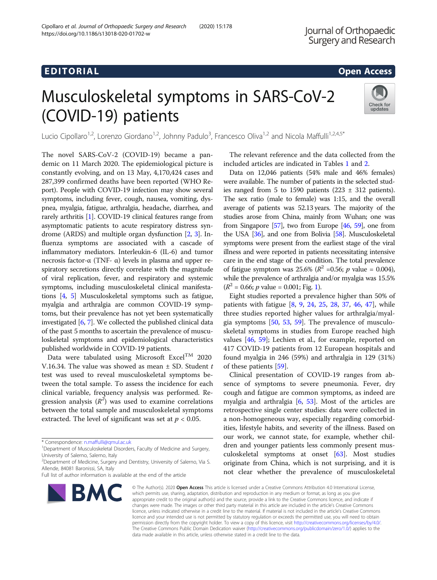## EDI TORIA L Open [Access](http://crossmark.crossref.org/dialog/?doi=10.1186/s13018-020-01702-w&domain=pdf)

# Musculoskeletal symptoms in SARS-CoV-2 (COVID-19) patients



Lucio Cipollaro<sup>1,2</sup>, Lorenzo Giordano<sup>1,2</sup>, Johnny Padulo<sup>3</sup>, Francesco Oliva<sup>1,2</sup> and Nicola Maffulli<sup>1,2,4,5\*</sup>

The novel SARS-CoV-2 (COVID-19) became a pandemic on 11 March 2020. The epidemiological picture is constantly evolving, and on 13 May, 4,170,424 cases and 287,399 confirmed deaths have been reported (WHO Report). People with COVID-19 infection may show several symptoms, including fever, cough, nausea, vomiting, dyspnea, myalgia, fatigue, arthralgia, headache, diarrhea, and rarely arthritis [\[1\]](#page-5-0). COVID-19 clinical features range from asymptomatic patients to acute respiratory distress syndrome (ARDS) and multiple organ dysfunction [[2,](#page-5-0) [3\]](#page-5-0). Influenza symptoms are associated with a cascade of inflammatory mediators. Interleukin-6 (IL-6) and tumor necrosis factor-α (TNF- α) levels in plasma and upper respiratory secretions directly correlate with the magnitude of viral replication, fever, and respiratory and systemic symptoms, including musculoskeletal clinical manifestations [\[4](#page-5-0), [5](#page-5-0)] Musculoskeletal symptoms such as fatigue, myalgia and arthralgia are common COVID-19 symptoms, but their prevalence has not yet been systematically investigated  $[6, 7]$  $[6, 7]$  $[6, 7]$  $[6, 7]$ . We collected the published clinical data of the past 5 months to ascertain the prevalence of musculoskeletal symptoms and epidemiological characteristics published worldwide in COVID-19 patients.

Data were tabulated using Microsoft Excel<sup>TM</sup> 2020 V.16.34. The value was showed as mean  $\pm$  SD. Student  $t$ test was used to reveal musculoskeletal symptoms between the total sample. To assess the incidence for each clinical variable, frequency analysis was performed. Regression analysis  $(R^2)$  was used to examine correlations between the total sample and musculoskeletal symptoms extracted. The level of significant was set at  $p < 0.05$ .

Full list of author information is available at the end of the article



The relevant reference and the data collected from the included articles are indicated in Tables [1](#page-1-0) and [2.](#page-3-0)

Data on 12,046 patients (54% male and 46% females) were available. The number of patients in the selected studies ranged from 5 to 1590 patients (223  $\pm$  312 patients). The sex ratio (male to female) was 1:15, and the overall average of patients was 52.13 years. The majority of the studies arose from China, mainly from Wuhan; one was from Singapore  $[57]$ , two from Europe  $[46, 59]$  $[46, 59]$  $[46, 59]$  $[46, 59]$  $[46, 59]$ , one from the USA [\[36\]](#page-6-0), and one from Bolivia [\[58\]](#page-6-0). Musculoskeletal symptoms were present from the earliest stage of the viral illness and were reported in patients necessitating intensive care in the end stage of the condition. The total prevalence of fatigue symptom was 25.6% ( $R^2$  =0.56; *p* value = 0.004), while the prevalence of arthralgia and/or myalgia was 15.5%  $(R^2 = 0.66; p$  value = 0.001; Fig. [1\)](#page-4-0).

Eight studies reported a prevalence higher than 50% of patients with fatigue [[8,](#page-5-0) [9,](#page-5-0) [24,](#page-5-0) [25](#page-5-0), [28](#page-5-0), [37](#page-6-0), [46,](#page-6-0) [47\]](#page-6-0), while three studies reported higher values for arthralgia/myalgia symptoms [\[50](#page-6-0), [53](#page-6-0), [59](#page-6-0)]. The prevalence of musculoskeletal symptoms in studies from Europe reached high values [[46,](#page-6-0) [59](#page-6-0)]; Lechien et al., for example, reported on 417 COVID-19 patients from 12 European hospitals and found myalgia in 246 (59%) and arthralgia in 129 (31%) of these patients [[59\]](#page-6-0).

Clinical presentation of COVID-19 ranges from absence of symptoms to severe pneumonia. Fever, dry cough and fatigue are common symptoms, as indeed are myalgia and arthralgia [\[6](#page-5-0), [53\]](#page-6-0). Most of the articles are retrospective single center studies: data were collected in a non-homogeneous way, especially regarding comorbidities, lifestyle habits, and severity of the illness. Based on our work, we cannot state, for example, whether children and younger patients less commonly present musculoskeletal symptoms at onset [\[63](#page-6-0)]. Most studies originate from China, which is not surprising, and it is not clear whether the prevalence of musculoskeletal

© The Author(s), 2020 **Open Access** This article is licensed under a Creative Commons Attribution 4.0 International License, which permits use, sharing, adaptation, distribution and reproduction in any medium or format, as long as you give appropriate credit to the original author(s) and the source, provide a link to the Creative Commons licence, and indicate if changes were made. The images or other third party material in this article are included in the article's Creative Commons licence, unless indicated otherwise in a credit line to the material. If material is not included in the article's Creative Commons licence and your intended use is not permitted by statutory regulation or exceeds the permitted use, you will need to obtain permission directly from the copyright holder. To view a copy of this licence, visit [http://creativecommons.org/licenses/by/4.0/.](http://creativecommons.org/licenses/by/4.0/) The Creative Commons Public Domain Dedication waiver [\(http://creativecommons.org/publicdomain/zero/1.0/](http://creativecommons.org/publicdomain/zero/1.0/)) applies to the data made available in this article, unless otherwise stated in a credit line to the data.

<sup>\*</sup> Correspondence: [n.maffulli@qmul.ac.uk](mailto:n.maffulli@qmul.ac.uk) <sup>1</sup>

<sup>&</sup>lt;sup>1</sup>Department of Musculoskeletal Disorders, Faculty of Medicine and Surgery, University of Salerno, Salerno, Italy

<sup>&</sup>lt;sup>2</sup>Department of Medicine, Surgery and Dentistry, University of Salerno, Via S. Allende, 84081 Baronissi, SA, Italy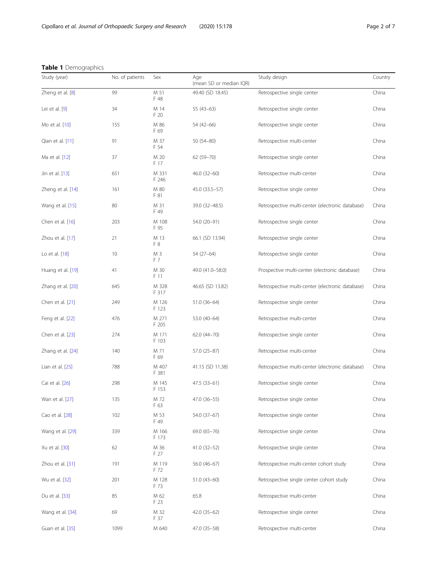|  | Table 1 Demographics |  |
|--|----------------------|--|
|--|----------------------|--|

<span id="page-1-0"></span>

| Study (year)      | No. of patients | Sex            | Age<br>(mean SD or median IQR) | Study design                                     | Country |
|-------------------|-----------------|----------------|--------------------------------|--------------------------------------------------|---------|
| Zheng et al. [8]  | 99              | M 51<br>F 48   | 49.40 (SD 18.45)               | Retrospective single center                      | China   |
| Lei et al. $[9]$  | 34              | M 14<br>F 20   | $55(43-63)$                    | Retrospective single center                      | China   |
| Mo et al. [10]    | 155             | M 86<br>F 69   | 54 (42-66)                     | Retrospective single center                      | China   |
| Qian et al. [11]  | 91              | M 37<br>F 54   | $50(54 - 80)$                  | Retrospective multi-center                       | China   |
| Ma et al. [12]    | 37              | M 20<br>F 17   | 62 (59-70)                     | Retrospective single center                      | China   |
| Jin et al. [13]   | 651             | M 331<br>F 246 | $46.0(32-60)$                  | Retrospective multi-center                       | China   |
| Zheng et al. [14] | 161             | M 80<br>F 81   | 45.0 (33.5-57)                 | Retrospective single center                      | China   |
| Wang et al. [15]  | 80              | M 31<br>F 49   | 39.0 (32-48.5)                 | Retrospective multi-center (electronic database) | China   |
| Chen et al. [16]  | 203             | M 108<br>F 95  | 54.0 (20-91)                   | Retrospective single center                      | China   |
| Zhou et al. [17]  | 21              | M 13<br>F 8    | 66.1 (SD 13.94)                | Retrospective single center                      | China   |
| Lo et al. [18]    | 10              | M 3<br>F 7     | 54 (27-64)                     | Retrospective single center                      | China   |
| Huang et al. [19] | 41              | M 30<br>F 11   | 49.0 (41.0-58.0)               | Prospective multi-center (electronic database)   | China   |
| Zhang et al. [20] | 645             | M 328<br>F 317 | 46.65 (SD 13.82)               | Retrospective multi-center (electronic database) | China   |
| Chen et al. [21]  | 249             | M 126<br>F 123 | 51.0 (36-64)                   | Retrospective single center                      | China   |
| Feng et al. [22]  | 476             | M 271<br>F 205 | 53.0 (40-64)                   | Retrospective multi-center                       | China   |
| Chen et al. [23]  | 274             | M 171<br>F 103 | 62.0 (44-70)                   | Retrospective single center                      | China   |
| Zhang et al. [24] | 140             | M 71<br>F 69   | 57.0 (25-87)                   | Retrospective multi-center                       | China   |
| Lian et al. [25]  | 788             | M 407<br>F 381 | 41.15 (SD 11.38)               | Retrospective multi-center (electronic database) | China   |
| Cai et al. [26]   | 298             | M 145<br>F 153 | 47.5 (33-61)                   | Retrospective single center                      | China   |
| Wan et al. [27]   | 135             | M 72<br>F 63   | 47.0 (36-55)                   | Retrospective single center                      | China   |
| Cao et al. [28]   | 102             | M 53<br>F 49   | 54.0 (37-67)                   | Retrospective single center                      | China   |
| Wang et al. [29]  | 339             | M 166<br>F 173 | 69.0 (65-76)                   | Retrospective single center                      | China   |
| Xu et al. [30]    | 62              | M 36<br>F 27   | $41.0(32 - 52)$                | Retrospective single center                      | China   |
| Zhou et al. [31]  | 191             | M 119<br>F 72  | 56.0 (46-67)                   | Retrospective multi-center cohort study          | China   |
| Wu et al. [32]    | 201             | M 128<br>F 73  | 51.0 (43-60)                   | Retrospective single center cohort study         | China   |
| Du et al. [33]    | 85              | M 62<br>F 23   | 65.8                           | Retrospective multi-center                       | China   |
| Wang et al. [34]  | 69              | M 32<br>F 37   | 42.0 (35-62)                   | Retrospective single center                      | China   |
| Guan et al. [35]  | 1099            | M 640          | 47.0 (35-58)                   | Retrospective multi-center                       | China   |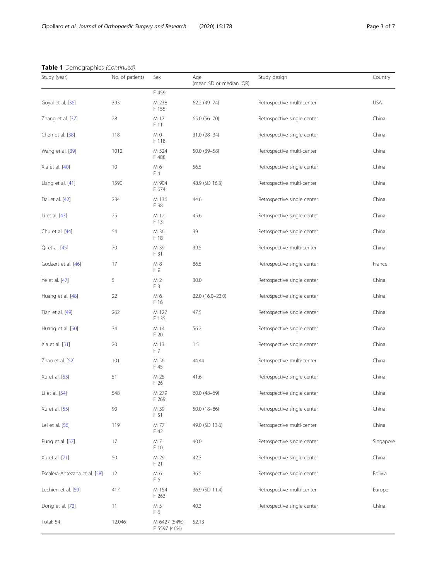|  |  |  | Table 1 Demographics (Continued) |
|--|--|--|----------------------------------|
|--|--|--|----------------------------------|

| Table 1 Demographics (Continued) |                 |                              |                                |                             |            |  |
|----------------------------------|-----------------|------------------------------|--------------------------------|-----------------------------|------------|--|
| Study (year)                     | No. of patients | Sex                          | Age<br>(mean SD or median IQR) | Study design                | Country    |  |
|                                  |                 | F 459                        |                                |                             |            |  |
| Goyal et al. [36]                | 393             | M 238<br>F 155               | 62.2 (49-74)                   | Retrospective multi-center  | <b>USA</b> |  |
| Zhang et al. [37]                | 28              | M 17<br>F 11                 | 65.0 (56-70)                   | Retrospective single center | China      |  |
| Chen et al. [38]                 | 118             | M 0<br>F 118                 | $31.0(28-34)$                  | Retrospective single center | China      |  |
| Wang et al. [39]                 | 1012            | M 524<br>F 488               | 50.0 (39-58)                   | Retrospective multi-center  | China      |  |
| Xia et al. [40]                  | 10              | M 6<br>F 4                   | 56.5                           | Retrospective single center | China      |  |
| Liang et al. [41]                | 1590            | M 904<br>F 674               | 48.9 (SD 16.3)                 | Retrospective multi-center  | China      |  |
| Dai et al. [42]                  | 234             | M 136<br>F 98                | 44.6                           | Retrospective single center | China      |  |
| Li et al. [43]                   | 25              | M 12<br>F 13                 | 45.6                           | Retrospective single center | China      |  |
| Chu et al. [44]                  | 54              | M 36<br>F 18                 | 39                             | Retrospective single center | China      |  |
| Qi et al. [45]                   | 70              | M 39<br>F 31                 | 39.5                           | Retrospective multi-center  | China      |  |
| Godaert et al. [46]              | 17              | M 8<br>F 9                   | 86.5                           | Retrospective single center | France     |  |
| Ye et al. [47]                   | 5               | M 2<br>F <sub>3</sub>        | 30.0                           | Retrospective single center | China      |  |
| Huang et al. [48]                | 22              | M 6<br>F 16                  | 22.0 (16.0-23.0)               | Retrospective single center | China      |  |
| Tian et al. [49]                 | 262             | M 127<br>F 135               | 47.5                           | Retrospective single center | China      |  |
| Huang et al. [50]                | 34              | M 14<br>F 20                 | 56.2                           | Retrospective single center | China      |  |
| Xia et al. [51]                  | 20              | M 13<br>F 7                  | 1.5                            | Retrospective single center | China      |  |
| Zhao et al. [52]                 | 101             | M 56<br>F 45                 | 44.44                          | Retrospective multi-center  | China      |  |
| Xu et al. [53]                   | 51              | M 25<br>F 26                 | 41.6                           | Retrospective single center | China      |  |
| Li et al. [54]                   | 548             | M 279<br>F 269               | $60.0(48-69)$                  | Retrospective single center | China      |  |
| Xu et al. [55]                   | 90              | M 39<br>F 51                 | $50.0(18 - 86)$                | Retrospective single center | China      |  |
| Lei et al. [56]                  | 119             | M 77<br>F 42                 | 49.0 (SD 13.6)                 | Retrospective multi-center  | China      |  |
| Pung et al. [57]                 | 17              | M 7<br>F 10                  | 40.0                           | Retrospective single center | Singapore  |  |
| Xu et al. [71]                   | 50              | M 29<br>F 21                 | 42.3                           | Retrospective single center | China      |  |
| Escalera-Antezana et al. [58]    | 12              | M 6<br>F6                    | 36.5                           | Retrospective single center | Bolivia    |  |
| Lechien et al. [59]              | 417             | M 154<br>F 263               | 36.9 (SD 11.4)                 | Retrospective multi-center  | Europe     |  |
| Dong et al. [72]                 | 11              | M 5<br>F6                    | 40.3                           | Retrospective single center | China      |  |
| Total: 54                        | 12.046          | M 6427 (54%)<br>F 5597 (46%) | 52.13                          |                             |            |  |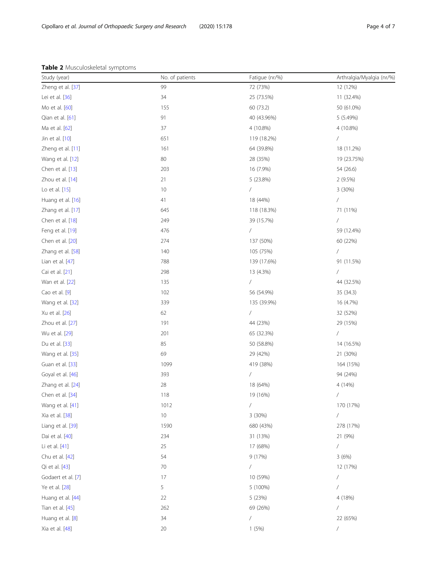|  |  | Table 2 Musculoskeletal symptoms |  |
|--|--|----------------------------------|--|
|--|--|----------------------------------|--|

<span id="page-3-0"></span>

| Table 2 Musculoskeletal symptoms |                 |                          |                           |
|----------------------------------|-----------------|--------------------------|---------------------------|
| Study (year)                     | No. of patients | Fatigue (nr/%)           | Arthralgia/Myalgia (nr/%) |
| Zheng et al. [37]                | 99              | 72 (73%)                 | 12 (12%)                  |
| Lei et al. [36]                  | 34              | 25 (73.5%)               | 11 (32.4%)                |
| Mo et al. [60]                   | 155             | 60 (73.2)                | 50 (61.0%)                |
| Qian et al. [61]                 | 91              | 40 (43.96%)              | 5 (5.49%)                 |
| Ma et al. [62]                   | 37              | 4 (10.8%)                | 4 (10.8%)                 |
| Jin et al. [10]                  | 651             | 119 (18.2%)              | $\sqrt{2}$                |
| Zheng et al. [11]                | 161             | 64 (39.8%)               | 18 (11.2%)                |
| Wang et al. [12]                 | 80              | 28 (35%)                 | 19 (23.75%)               |
| Chen et al. [13]                 | 203             | 16 (7.9%)                | 54 (26.6)                 |
| Zhou et al. [14]                 | 21              | 5 (23.8%)                | 2(9.5%)                   |
| Lo et al. [15]                   | 10              | /                        | 3 (30%)                   |
| Huang et al. [16]                | 41              | 18 (44%)                 | $\sqrt{2}$                |
| Zhang et al. [17]                | 645             | 118 (18.3%)              | 71 (11%)                  |
| Chen et al. [18]                 | 249             | 39 (15.7%)               | 7                         |
| Feng et al. [19]                 | 476             | $\sqrt{2}$               | 59 (12.4%)                |
| Chen et al. [20]                 | 274             | 137 (50%)                | 60 (22%)                  |
| Zhang et al. [58]                | 140             | 105 (75%)                | Τ                         |
| Lian et al. [47]                 | 788             | 139 (17.6%)              | 91 (11.5%)                |
| Cai et al. [21]                  | 298             | 13 (4.3%)                | $\sqrt{2}$                |
| Wan et al. [22]                  | 135             | /                        | 44 (32.5%)                |
| Cao et al. [9]                   | 102             | 56 (54.9%)               | 35 (34.3)                 |
| Wang et al. [32]                 | 339             | 135 (39.9%)              | 16 (4.7%)                 |
| Xu et al. [26]                   | 62              | /                        | 32 (52%)                  |
| Zhou et al. [27]                 | 191             | 44 (23%)                 | 29 (15%)                  |
| Wu et al. [29]                   | 201             | 65 (32.3%)               | $\sqrt{2}$                |
| Du et al. [33]                   | 85              | 50 (58.8%)               | 14 (16.5%)                |
| Wang et al. [35]                 | 69              | 29 (42%)                 | 21 (30%)                  |
| Guan et al. [33]                 | 1099            | 419 (38%)                | 164 (15%)                 |
| Goyal et al. [46]                | 393             | /                        | 94 (24%)                  |
| Zhang et al. [24]                | 28              | 18 (64%)                 | 4 (14%)                   |
| Chen et al. [34]                 | 118             | 19 (16%)                 | $\sqrt{2}$                |
| Wang et al. [41]                 | 1012            | /                        | 170 (17%)                 |
| Xia et al. [38]                  | 10              | 3 (30%)                  | $\sqrt{2}$                |
| Liang et al. [39]                | 1590            | 680 (43%)                | 278 (17%)                 |
| Dai et al. [40]                  | 234             | 31 (13%)                 | 21 (9%)                   |
| Li et al. [41]                   | 25              | 17 (68%)                 | 7                         |
| Chu et al. [42]                  | 54              | 9(17%)                   | 3(6%)                     |
| Qi et al. [43]                   | 70              | /                        | 12 (17%)                  |
| Godaert et al. [7]               | 17              | 10 (59%)                 | $\overline{1}$            |
| Ye et al. [28]                   | 5               | 5 (100%)                 | 7                         |
| Huang et al. [44]                | 22              | 5 (23%)                  | 4 (18%)                   |
| Tian et al. [45]                 | 262             | 69 (26%)                 | Τ                         |
| Huang et al. [8]                 | 34              | $\overline{\phantom{a}}$ | 22 (65%)                  |
| Xia et al. [48]                  | 20              | 1(5%)                    | $\sqrt{2}$                |
|                                  |                 |                          |                           |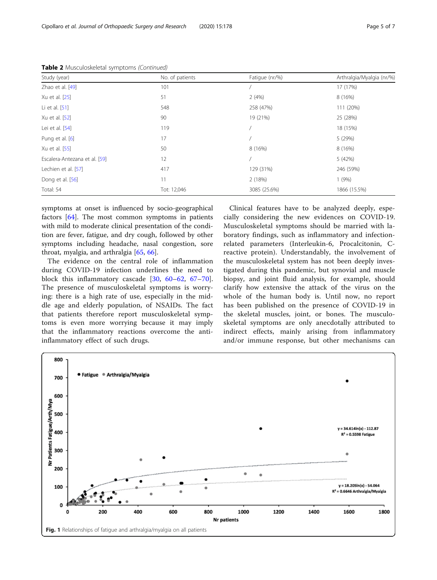| Study (year)                  | No. of patients | Fatigue (nr/%) | Arthralgia/Myalgia (nr/%) |
|-------------------------------|-----------------|----------------|---------------------------|
| Zhao et al. [49]              | 101             |                | 17 (17%)                  |
| Xu et al. [25]                | 51              | 2(4%)          | 8 (16%)                   |
| Li et al. $[51]$              | 548             | 258 (47%)      | 111 (20%)                 |
| Xu et al. [52]                | 90              | 19 (21%)       | 25 (28%)                  |
| Lei et al. [54]               | 119             |                | 18 (15%)                  |
| Pung et al. [6]               | 17              |                | 5 (29%)                   |
| Xu et al. [55]                | 50              | 8 (16%)        | 8 (16%)                   |
| Escalera-Antezana et al. [59] | 12              |                | 5 (42%)                   |
| Lechien et al. [57]           | 417             | 129 (31%)      | 246 (59%)                 |
| Dong et al. [56]              | 11              | 2 (18%)        | 1(9%)                     |
| Total: 54                     | Tot: 12,046     | 3085 (25.6%)   | 1866 (15.5%)              |

<span id="page-4-0"></span>Table 2 Musculoskeletal symptoms (Continued)

symptoms at onset is influenced by socio-geographical factors [[64\]](#page-6-0). The most common symptoms in patients with mild to moderate clinical presentation of the condition are fever, fatigue, and dry cough, followed by other symptoms including headache, nasal congestion, sore throat, myalgia, and arthralgia [[65,](#page-6-0) [66\]](#page-6-0).

The evidence on the central role of inflammation during COVID-19 infection underlines the need to block this inflammatory cascade [\[30,](#page-5-0) [60](#page-6-0)–[62](#page-6-0), [67](#page-6-0)–[70](#page-6-0)]. The presence of musculoskeletal symptoms is worrying: there is a high rate of use, especially in the middle age and elderly population, of NSAIDs. The fact that patients therefore report musculoskeletal symptoms is even more worrying because it may imply that the inflammatory reactions overcome the antiinflammatory effect of such drugs.

Clinical features have to be analyzed deeply, especially considering the new evidences on COVID-19. Musculoskeletal symptoms should be married with laboratory findings, such as inflammatory and infectionrelated parameters (Interleukin-6, Procalcitonin, Creactive protein). Understandably, the involvement of the musculoskeletal system has not been deeply investigated during this pandemic, but synovial and muscle biopsy, and joint fluid analysis, for example, should clarify how extensive the attack of the virus on the whole of the human body is. Until now, no report has been published on the presence of COVID-19 in the skeletal muscles, joint, or bones. The musculoskeletal symptoms are only anecdotally attributed to indirect effects, mainly arising from inflammatory and/or immune response, but other mechanisms can

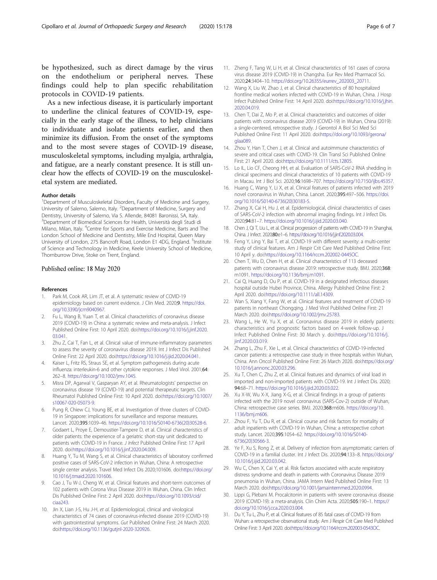<span id="page-5-0"></span>be hypothesized, such as direct damage by the virus on the endothelium or peripheral nerves. These findings could help to plan specific rehabilitation protocols in COVID-19 patients.

As a new infectious disease, it is particularly important to underline the clinical features of COVID-19, especially in the early stage of the illness, to help clinicians to individuate and isolate patients earlier, and then minimize its diffusion. From the onset of the symptoms and to the most severe stages of COVID-19 disease, musculoskeletal symptoms, including myalgia, arthralgia, and fatigue, are a nearly constant presence. It is still unclear how the effects of COVID-19 on the musculoskeletal system are mediated.

#### Author details

<sup>1</sup>Department of Musculoskeletal Disorders, Faculty of Medicine and Surgery, University of Salerno, Salerno, Italy. <sup>2</sup>Department of Medicine, Surgery and Dentistry, University of Salerno, Via S. Allende, 84081 Baronissi, SA, Italy. 3 Department of Biomedical Sciences for Health, Università degli Studi di Milano, Milan, Italy. <sup>4</sup>Centre for Sports and Exercise Medicine, Barts and The London School of Medicine and Dentistry, Mile End Hospital, Queen Mary University of London, 275 Bancroft Road, London E1 4DG, England. <sup>5</sup>Institute of Science and Technology in Medicine, Keele University School of Medicine, Thornburrow Drive, Stoke on Trent, England.

### Published online: 18 May 2020

#### References

- 1. Park M, Cook AR, Lim JT, et al. A systematic review of COVID-19 epidemiology based on current evidence. J Clin Med. 2020;9. [https://doi.](https://doi.org/10.3390/jcm9040967) [org/10.3390/jcm9040967](https://doi.org/10.3390/jcm9040967).
- 2. Fu L, Wang B, Yuan T, et al. Clinical characteristics of coronavirus disease 2019 (COVID-19) in China: a systematic review and meta-analysis. J Infect Published Online First: 10 April 2020. doi:[https://doi.org/10.1016/j.jinf.2020.](https://doi.org/10.1016/j.jinf.2020.03.041) [03.041.](https://doi.org/10.1016/j.jinf.2020.03.041)
- 3. Zhu Z, Cai T, Fan L, et al. Clinical value of immune-inflammatory parameters to assess the severity of coronavirus disease 2019. Int J Infect Dis Published Online First: 22 April 2020. doi:<https://doi.org/10.1016/j.ijid.2020.04.041>.
- Kaiser L, Fritz RS, Straus SE, et al. Symptom pathogenesis during acute influenza: interleukin-6 and other cytokine responses. J Med Virol. 2001;64: 262–8. [https://doi.org/10.1002/jmv.1045.](https://doi.org/10.1002/jmv.1045)
- 5. Misra DP, Agarwal V, Gasparyan AY, et al. Rheumatologists' perspective on coronavirus disease 19 (COVID-19) and potential therapeutic targets. Clin Rheumatol Published Online First: 10 April 2020. doi:[https://doi.org/10.1007/](https://doi.org/10.1007/s10067-020-05073-9) [s10067-020-05073-9](https://doi.org/10.1007/s10067-020-05073-9).
- 6. Pung R, Chiew CJ, Young BE, et al. Investigation of three clusters of COVID-19 in Singapore: implications for surveillance and response measures. Lancet. 2020;395:1039–46. [https://doi.org/10.1016/S0140-6736\(20\)30528-6](https://doi.org/10.1016/S0140-6736(20)30528-6).
- 7. Godaert L, Proye E, Demoustier-Tampere D, et al. Clinical characteristics of older patients: the experience of a geriatric short-stay unit dedicated to patients with COVID-19 in France. J Infect Published Online First: 17 April 2020. doi:[https://doi.org/10.1016/j.jinf.2020.04.009.](https://doi.org/10.1016/j.jinf.2020.04.009)
- 8. Huang Y, Tu M, Wang S, et al. Clinical characteristics of laboratory confirmed positive cases of SARS-CoV-2 infection in Wuhan, China: A retrospective single center analysis. Travel Med Infect Dis 2020;101606. doi:[https://doi.org/](https://doi.org/10.1016/j.tmaid.2020.101606) [10.1016/j.tmaid.2020.101606](https://doi.org/10.1016/j.tmaid.2020.101606).
- 9. Cao J, Tu W-J, Cheng W, et al. Clinical features and short-term outcomes of 102 patients with Corona Virus Disease 2019 in Wuhan, China. Clin Infect Dis Published Online First: 2 April 2020. doi[:https://doi.org/10.1093/cid/](https://doi.org/10.1093/cid/ciaa243) [ciaa243.](https://doi.org/10.1093/cid/ciaa243)
- 10. Jin X, Lian J-S, Hu J-H, et al. Epidemiological, clinical and virological characteristics of 74 cases of coronavirus-infected disease 2019 (COVID-19) with gastrointestinal symptoms. Gut Published Online First: 24 March 2020. doi[:https://doi.org/10.1136/gutjnl-2020-320926.](https://doi.org/10.1136/gutjnl-2020-320926)
- 11. Zheng F, Tang W, Li H, et al. Clinical characteristics of 161 cases of corona virus disease 2019 (COVID-19) in Changsha. Eur Rev Med Pharmacol Sci. 2020;24:3404–10. [https://doi.org/10.26355/eurrev\\_202003\\_20711.](https://doi.org/10.26355/eurrev_202003_20711)
- 12. Wang X, Liu W, Zhao J, et al. Clinical characteristics of 80 hospitalized frontline medical workers infected with COVID-19 in Wuhan, China. J Hosp Infect Published Online First: 14 April 2020. doi:[https://doi.org/10.1016/j.jhin.](https://doi.org/10.1016/j.jhin.2020.04.019) [2020.04.019.](https://doi.org/10.1016/j.jhin.2020.04.019)
- 13. Chen T, Dai Z, Mo P, et al. Clinical characteristics and outcomes of older patients with coronavirus disease 2019 (COVID-19) in Wuhan, China (2019): a single-centered, retrospective study. J Gerontol A Biol Sci Med Sci Published Online First: 11 April 2020. doi:[https://doi.org/10.1093/gerona/](https://doi.org/10.1093/gerona/glaa089) [glaa089.](https://doi.org/10.1093/gerona/glaa089)
- 14. Zhou Y, Han T, Chen J, et al. Clinical and autoimmune characteristics of severe and critical cases with COVID-19. Clin Transl Sci Published Online First: 21 April 2020. doi[:https://doi.org/10.1111/cts.12805](https://doi.org/10.1111/cts.12805).
- 15. Lo IL, Lio CF, Cheong HH, et al. Evaluation of SARS-CoV-2 RNA shedding in clinical specimens and clinical characteristics of 10 patients with COVID-19 in Macau. Int J Biol Sci. 2020;16:1698–707. [https://doi.org/10.7150/ijbs.45357.](https://doi.org/10.7150/ijbs.45357)
- 16. Huang C, Wang Y, Li X, et al. Clinical features of patients infected with 2019 novel coronavirus in Wuhan, China. Lancet. 2020;395:497–506. [https://doi.](https://doi.org/10.1016/S0140-6736(20)30183-5) [org/10.1016/S0140-6736\(20\)30183-5.](https://doi.org/10.1016/S0140-6736(20)30183-5)
- 17. Zhang X, Cai H, Hu J, et al. Epidemiological, clinical characteristics of cases of SARS-CoV-2 infection with abnormal imaging findings. Int J Infect Dis. 2020;94:81–7. [https://doi.org/10.1016/j.ijid.2020.03.040.](https://doi.org/10.1016/j.ijid.2020.03.040)
- 18. Chen J, Qi T, Liu L, et al. Clinical progression of patients with COVID-19 in Shanghai, China. J Infect. 2020;80:e1–6. [https://doi.org/10.1016/j.jinf.2020.03.004.](https://doi.org/10.1016/j.jinf.2020.03.004)
- 19. Feng Y, Ling Y, Bai T, et al. COVID-19 with different severity: a multi-center study of clinical features. Am J Respir Crit Care Med Published Online First: 10 April y. doi:<https://doi.org/10.1164/rccm.202002-0445OC>.
- 20. Chen T, Wu D, Chen H, et al. Clinical characteristics of 113 deceased patients with coronavirus disease 2019: retrospective study. BMJ. 2020;368: m1091. <https://doi.org/10.1136/bmj.m1091>.
- 21. Cai Q, Huang D, Ou P, et al. COVID-19 in a designated infectious diseases hospital outside Hubei Province, China. Allergy Published Online First: 2 April 2020. doi[:https://doi.org/10.1111/all.14309.](https://doi.org/10.1111/all.14309)
- 22. Wan S, Xiang Y, Fang W, et al. Clinical features and treatment of COVID-19 patients in northeast Chongqing. J Med Virol Published Online First: 21 March 2020. doi:[https://doi.org/10.1002/jmv.25783.](https://doi.org/10.1002/jmv.25783)
- 23. Wang L, He W, Yu X, et al. Coronavirus disease 2019 in elderly patients: characteristics and prognostic factors based on 4-week follow-up. J Infect Published Online First: 30 March y. doi[:https://doi.org/10.1016/j.](https://doi.org/10.1016/j.jinf.2020.03.019) [jinf.2020.03.019](https://doi.org/10.1016/j.jinf.2020.03.019).
- 24. Zhang L, Zhu F, Xie L, et al. Clinical characteristics of COVID-19-infected cancer patients: a retrospective case study in three hospitals within Wuhan, China. Ann Oncol Published Online First: 26 March 2020. doi:[https://doi.org/](https://doi.org/10.1016/j.annonc.2020.03.296) [10.1016/j.annonc.2020.03.296](https://doi.org/10.1016/j.annonc.2020.03.296).
- 25. Xu T, Chen C, Zhu Z, et al. Clinical features and dynamics of viral load in imported and non-imported patients with COVID-19. Int J Infect Dis. 2020; 94:68–71. <https://doi.org/10.1016/j.ijid.2020.03.022>.
- 26. Xu X-W, Wu X-X, Jiang X-G, et al. Clinical findings in a group of patients infected with the 2019 novel coronavirus (SARS-Cov-2) outside of Wuhan, China: retrospective case series. BMJ. 2020;368:m606. [https://doi.org/10.](https://doi.org/10.1136/bmj.m606) [1136/bmj.m606](https://doi.org/10.1136/bmj.m606).
- 27. Zhou F, Yu T, Du R, et al. Clinical course and risk factors for mortality of adult inpatients with COVID-19 in Wuhan, China: a retrospective cohort study. Lancet. 2020;395:1054–62. [https://doi.org/10.1016/S0140-](https://doi.org/10.1016/S0140-6736(20)30566-3) [6736\(20\)30566-3](https://doi.org/10.1016/S0140-6736(20)30566-3).
- 28. Ye F, Xu S, Rong Z, et al. Delivery of infection from asymptomatic carriers of COVID-19 in a familial cluster. Int J Infect Dis. 2020;94:133–8. [https://doi.org/](https://doi.org/10.1016/j.ijid.2020.03.042) [10.1016/j.ijid.2020.03.042](https://doi.org/10.1016/j.ijid.2020.03.042).
- 29. Wu C, Chen X, Cai Y, et al. Risk factors associated with acute respiratory distress syndrome and death in patients with Coronavirus Disease 2019 pneumonia in Wuhan, China. JAMA Intern Med Published Online First: 13 March 2020. doi:<https://doi.org/10.1001/jamainternmed.2020.0994>.
- 30. Lippi G, Plebani M. Procalcitonin in patients with severe coronavirus disease 2019 (COVID-19): a meta-analysis. Clin Chim Acta. 2020;505:190–1. [https://](https://doi.org/10.1016/j.cca.2020.03.004) [doi.org/10.1016/j.cca.2020.03.004.](https://doi.org/10.1016/j.cca.2020.03.004)
- 31. Du Y, Tu L, Zhu P, et al. Clinical features of 85 fatal cases of COVID-19 from Wuhan: a retrospective observational study. Am J Respir Crit Care Med Published Online First: 3 April 2020. doi[:https://doi.org/10.1164/rccm.202003-0543OC.](https://doi.org/10.1164/rccm.202003-0543OC)